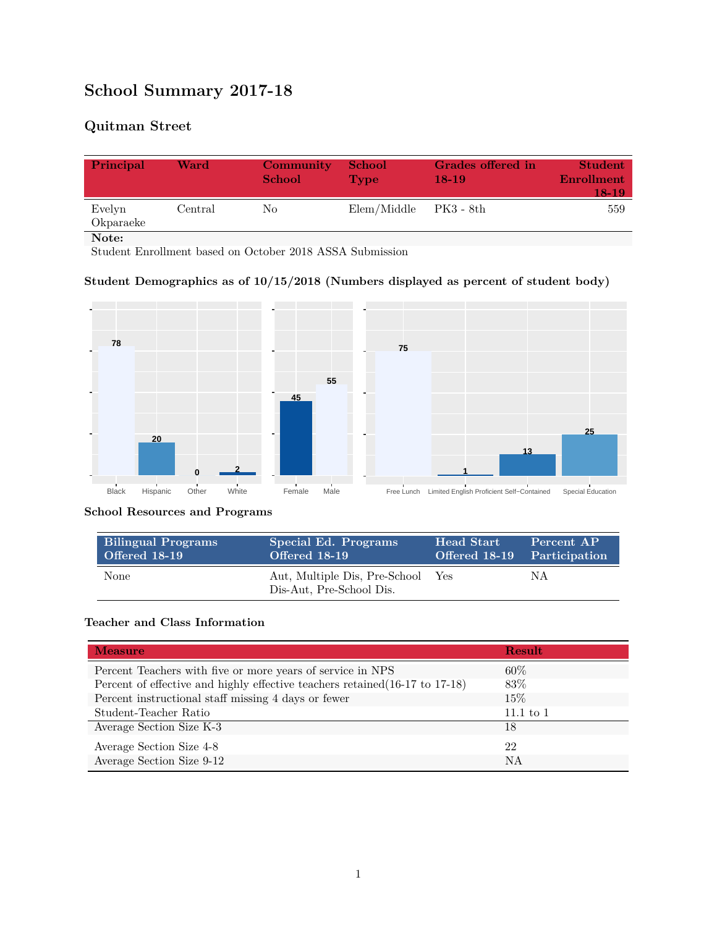# **School Summary 2017-18**

# **Quitman Street**

| Principal           | Ward    | Community<br><b>School</b> | <b>School</b><br><b>Type</b> | Grades offered in<br>$18-19$ | <b>Student</b><br><b>Enrollment</b><br>18-19 |
|---------------------|---------|----------------------------|------------------------------|------------------------------|----------------------------------------------|
| Evelyn<br>Okparaeke | Central | No.                        | Elem/Middle                  | PK3 - 8th                    | 559                                          |
| Note:               |         |                            |                              |                              |                                              |

Student Enrollment based on October 2018 ASSA Submission

# **Student Demographics as of 10/15/2018 (Numbers displayed as percent of student body)**



#### **School Resources and Programs**

| <b>Bilingual Programs</b> | Special Ed. Programs                                          | Head Start                  | Percent AP |
|---------------------------|---------------------------------------------------------------|-----------------------------|------------|
| Offered 18-19             | Offered 18-19                                                 | Offered 18-19 Participation |            |
| <b>None</b>               | Aut, Multiple Dis, Pre-School Yes<br>Dis-Aut, Pre-School Dis. |                             | ΝA         |

#### **Teacher and Class Information**

| <b>Measure</b>                                                               | <b>Result</b> |
|------------------------------------------------------------------------------|---------------|
| Percent Teachers with five or more years of service in NPS                   | $60\%$        |
| Percent of effective and highly effective teachers retained (16-17 to 17-18) | 83\%          |
| Percent instructional staff missing 4 days or fewer                          | $15\%$        |
| Student-Teacher Ratio                                                        | $11.1$ to $1$ |
| Average Section Size K-3                                                     | 18            |
| Average Section Size 4-8                                                     | 22            |
| Average Section Size 9-12                                                    | NA            |